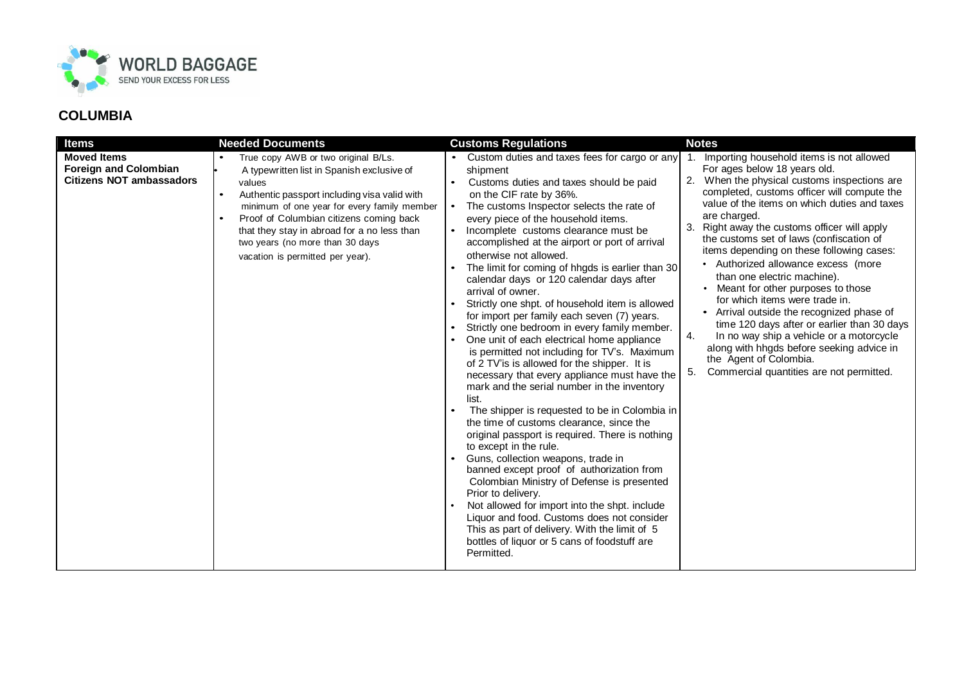

| <b>Items</b>                                                                          | <b>Needed Documents</b>                                                                                                                                                                                                                                                                                                                                                  | <b>Customs Regulations</b>                                                                                                                                                                                                                                                                                                                                                                                                                                                                                                                                                                                                                                                                                                                                                                                                                                                                                                                                                                                                                                                                                                                                                                                                                                                                                                                                                                                                                     | <b>Notes</b>                                                                                                                                                                                                                                                                                                                                                                                                                                                                                                                                                                                                                                                                                                                                                                                                             |
|---------------------------------------------------------------------------------------|--------------------------------------------------------------------------------------------------------------------------------------------------------------------------------------------------------------------------------------------------------------------------------------------------------------------------------------------------------------------------|------------------------------------------------------------------------------------------------------------------------------------------------------------------------------------------------------------------------------------------------------------------------------------------------------------------------------------------------------------------------------------------------------------------------------------------------------------------------------------------------------------------------------------------------------------------------------------------------------------------------------------------------------------------------------------------------------------------------------------------------------------------------------------------------------------------------------------------------------------------------------------------------------------------------------------------------------------------------------------------------------------------------------------------------------------------------------------------------------------------------------------------------------------------------------------------------------------------------------------------------------------------------------------------------------------------------------------------------------------------------------------------------------------------------------------------------|--------------------------------------------------------------------------------------------------------------------------------------------------------------------------------------------------------------------------------------------------------------------------------------------------------------------------------------------------------------------------------------------------------------------------------------------------------------------------------------------------------------------------------------------------------------------------------------------------------------------------------------------------------------------------------------------------------------------------------------------------------------------------------------------------------------------------|
| <b>Moved Items</b><br><b>Foreign and Colombian</b><br><b>Citizens NOT ambassadors</b> | True copy AWB or two original B/Ls.<br>A typewritten list in Spanish exclusive of<br>values<br>Authentic passport including visa valid with<br>$\bullet$<br>minimum of one year for every family member<br>Proof of Columbian citizens coming back<br>that they stay in abroad for a no less than<br>two years (no more than 30 days<br>vacation is permitted per year). | Custom duties and taxes fees for cargo or any<br>shipment<br>Customs duties and taxes should be paid<br>on the CIF rate by 36%.<br>The customs Inspector selects the rate of<br>every piece of the household items.<br>Incomplete customs clearance must be<br>accomplished at the airport or port of arrival<br>otherwise not allowed.<br>The limit for coming of hhgds is earlier than 30<br>calendar days or 120 calendar days after<br>arrival of owner.<br>Strictly one shpt. of household item is allowed<br>for import per family each seven (7) years.<br>Strictly one bedroom in every family member.<br>One unit of each electrical home appliance<br>is permitted not including for TV's. Maximum<br>of 2 TV' is is allowed for the shipper. It is<br>necessary that every appliance must have the<br>mark and the serial number in the inventory<br>list.<br>The shipper is requested to be in Colombia in<br>$\bullet$<br>the time of customs clearance, since the<br>original passport is required. There is nothing<br>to except in the rule.<br>Guns, collection weapons, trade in<br>banned except proof of authorization from<br>Colombian Ministry of Defense is presented<br>Prior to delivery.<br>Not allowed for import into the shpt. include<br>$\bullet$<br>Liquor and food. Customs does not consider<br>This as part of delivery. With the limit of 5<br>bottles of liquor or 5 cans of foodstuff are<br>Permitted. | Importing household items is not allowed<br>$\mathbf{1}$ .<br>For ages below 18 years old.<br>2. When the physical customs inspections are<br>completed, customs officer will compute the<br>value of the items on which duties and taxes<br>are charged.<br>3. Right away the customs officer will apply<br>the customs set of laws (confiscation of<br>items depending on these following cases:<br>• Authorized allowance excess (more<br>than one electric machine).<br>• Meant for other purposes to those<br>for which items were trade in.<br>• Arrival outside the recognized phase of<br>time 120 days after or earlier than 30 days<br>4.<br>In no way ship a vehicle or a motorcycle<br>along with hhgds before seeking advice in<br>the Agent of Colombia.<br>Commercial quantities are not permitted.<br>5. |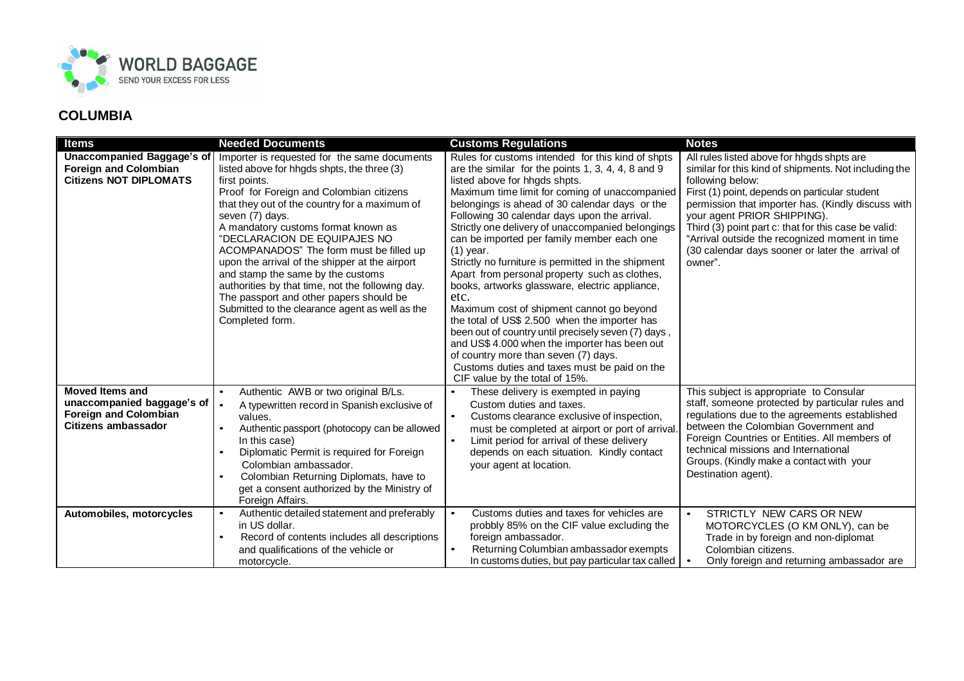

| <b>Items</b>                                                                                                | <b>Needed Documents</b>                                                                                                                                                                                                                                                                                                                                                                                                                                                                                                                                                                                    | <b>Customs Regulations</b>                                                                                                                                                                                                                                                                                                                                                                                                                                                                                                                                                                                                                                                                                                                                                                                                                                                                                     | <b>Notes</b>                                                                                                                                                                                                                                                                                                                                                                                                                            |
|-------------------------------------------------------------------------------------------------------------|------------------------------------------------------------------------------------------------------------------------------------------------------------------------------------------------------------------------------------------------------------------------------------------------------------------------------------------------------------------------------------------------------------------------------------------------------------------------------------------------------------------------------------------------------------------------------------------------------------|----------------------------------------------------------------------------------------------------------------------------------------------------------------------------------------------------------------------------------------------------------------------------------------------------------------------------------------------------------------------------------------------------------------------------------------------------------------------------------------------------------------------------------------------------------------------------------------------------------------------------------------------------------------------------------------------------------------------------------------------------------------------------------------------------------------------------------------------------------------------------------------------------------------|-----------------------------------------------------------------------------------------------------------------------------------------------------------------------------------------------------------------------------------------------------------------------------------------------------------------------------------------------------------------------------------------------------------------------------------------|
| Unaccompanied Baggage's of<br><b>Foreign and Colombian</b><br><b>Citizens NOT DIPLOMATS</b>                 | Importer is requested for the same documents<br>listed above for hhgds shpts, the three (3)<br>first points.<br>Proof for Foreign and Colombian citizens<br>that they out of the country for a maximum of<br>seven (7) days.<br>A mandatory customs format known as<br>"DECLARACION DE EQUIPAJES NO<br>ACOMPANADOS" The form must be filled up<br>upon the arrival of the shipper at the airport<br>and stamp the same by the customs<br>authorities by that time, not the following day.<br>The passport and other papers should be<br>Submitted to the clearance agent as well as the<br>Completed form. | Rules for customs intended for this kind of shpts<br>are the similar for the points 1, 3, 4, 4, 8 and 9<br>listed above for hhgds shpts.<br>Maximum time limit for coming of unaccompanied<br>belongings is ahead of 30 calendar days or the<br>Following 30 calendar days upon the arrival.<br>Strictly one delivery of unaccompanied belongings<br>can be imported per family member each one<br>$(1)$ year.<br>Strictly no furniture is permitted in the shipment<br>Apart from personal property such as clothes,<br>books, artworks glassware, electric appliance,<br>etc.<br>Maximum cost of shipment cannot go beyond<br>the total of US\$ 2.500 when the importer has<br>been out of country until precisely seven (7) days,<br>and US\$4.000 when the importer has been out<br>of country more than seven (7) days.<br>Customs duties and taxes must be paid on the<br>CIF value by the total of 15%. | All rules listed above for hhgds shpts are<br>similar for this kind of shipments. Not including the<br>following below:<br>First (1) point, depends on particular student<br>permission that importer has. (Kindly discuss with<br>your agent PRIOR SHIPPING).<br>Third (3) point part c: that for this case be valid:<br>"Arrival outside the recognized moment in time<br>(30 calendar days sooner or later the arrival of<br>owner". |
| <b>Moved Items and</b><br>unaccompanied baggage's of<br><b>Foreign and Colombian</b><br>Citizens ambassador | Authentic AWB or two original B/Ls.<br>$\bullet$<br>A typewritten record in Spanish exclusive of<br>$\bullet$<br>values.<br>Authentic passport (photocopy can be allowed<br>In this case)<br>Diplomatic Permit is required for Foreign<br>Colombian ambassador.<br>Colombian Returning Diplomats, have to<br>get a consent authorized by the Ministry of<br>Foreign Affairs.                                                                                                                                                                                                                               | These delivery is exempted in paying<br>$\bullet$<br>Custom duties and taxes.<br>Customs clearance exclusive of inspection,<br>must be completed at airport or port of arrival.<br>Limit period for arrival of these delivery<br>depends on each situation. Kindly contact<br>your agent at location.                                                                                                                                                                                                                                                                                                                                                                                                                                                                                                                                                                                                          | This subject is appropriate to Consular<br>staff, someone protected by particular rules and<br>regulations due to the agreements established<br>between the Colombian Government and<br>Foreign Countries or Entities. All members of<br>technical missions and International<br>Groups. (Kindly make a contact with your<br>Destination agent).                                                                                        |
| Automobiles, motorcycles                                                                                    | Authentic detailed statement and preferably<br>$\bullet$<br>in US dollar.<br>Record of contents includes all descriptions<br>$\bullet$<br>and qualifications of the vehicle or<br>motorcycle.                                                                                                                                                                                                                                                                                                                                                                                                              | Customs duties and taxes for vehicles are<br>probbly 85% on the CIF value excluding the<br>foreign ambassador.<br>Returning Columbian ambassador exempts<br>In customs duties, but pay particular tax called $ \cdot $                                                                                                                                                                                                                                                                                                                                                                                                                                                                                                                                                                                                                                                                                         | STRICTLY NEW CARS OR NEW<br>MOTORCYCLES (O KM ONLY), can be<br>Trade in by foreign and non-diplomat<br>Colombian citizens.<br>Only foreign and returning ambassador are                                                                                                                                                                                                                                                                 |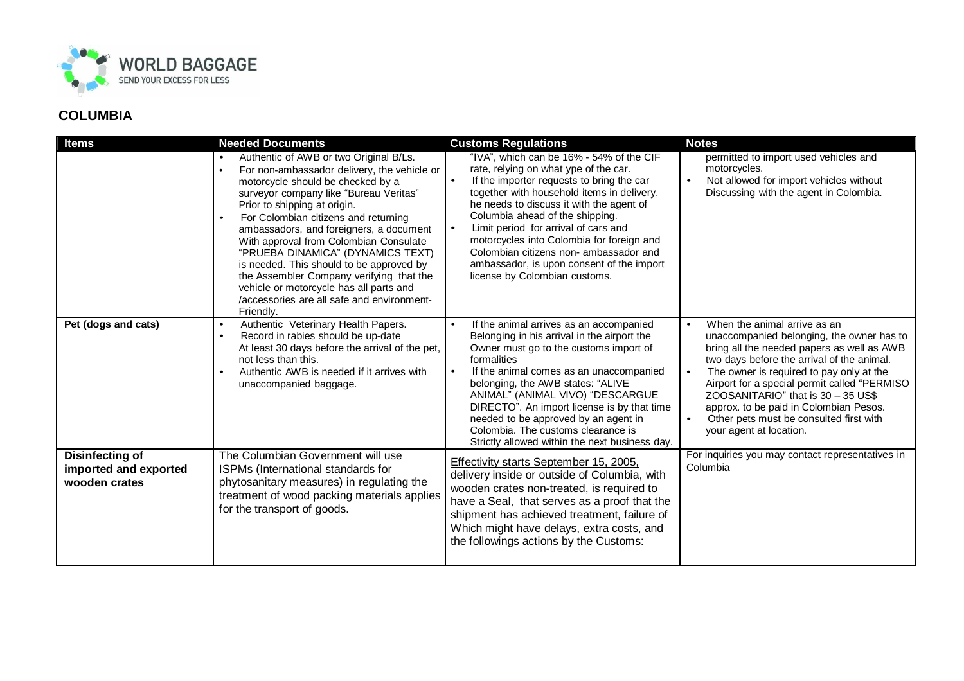

| <b>Items</b>                                                     | <b>Needed Documents</b>                                                                                                                                                                                                                                                                                                                                                                                                                                                                                                                                              | <b>Customs Regulations</b>                                                                                                                                                                                                                                                                                                                                                                                                                                              | <b>Notes</b>                                                                                                                                                                                                                                                                                                                                                                                                                         |
|------------------------------------------------------------------|----------------------------------------------------------------------------------------------------------------------------------------------------------------------------------------------------------------------------------------------------------------------------------------------------------------------------------------------------------------------------------------------------------------------------------------------------------------------------------------------------------------------------------------------------------------------|-------------------------------------------------------------------------------------------------------------------------------------------------------------------------------------------------------------------------------------------------------------------------------------------------------------------------------------------------------------------------------------------------------------------------------------------------------------------------|--------------------------------------------------------------------------------------------------------------------------------------------------------------------------------------------------------------------------------------------------------------------------------------------------------------------------------------------------------------------------------------------------------------------------------------|
|                                                                  | Authentic of AWB or two Original B/Ls.<br>For non-ambassador delivery, the vehicle or<br>motorcycle should be checked by a<br>surveyor company like "Bureau Veritas"<br>Prior to shipping at origin.<br>For Colombian citizens and returning<br>ambassadors, and foreigners, a document<br>With approval from Colombian Consulate<br>"PRUEBA DINAMICA" (DYNAMICS TEXT)<br>is needed. This should to be approved by<br>the Assembler Company verifying that the<br>vehicle or motorcycle has all parts and<br>/accessories are all safe and environment-<br>Friendly. | "IVA", which can be 16% - 54% of the CIF<br>rate, relying on what ype of the car.<br>If the importer requests to bring the car<br>together with household items in delivery,<br>he needs to discuss it with the agent of<br>Columbia ahead of the shipping.<br>Limit period for arrival of cars and<br>motorcycles into Colombia for foreign and<br>Colombian citizens non-ambassador and<br>ambassador, is upon consent of the import<br>license by Colombian customs. | permitted to import used vehicles and<br>motorcycles.<br>Not allowed for import vehicles without<br>Discussing with the agent in Colombia.                                                                                                                                                                                                                                                                                           |
| Pet (dogs and cats)                                              | Authentic Veterinary Health Papers.<br>$\bullet$<br>Record in rabies should be up-date<br>$\bullet$<br>At least 30 days before the arrival of the pet,<br>not less than this.<br>Authentic AWB is needed if it arrives with<br>unaccompanied baggage.                                                                                                                                                                                                                                                                                                                | If the animal arrives as an accompanied<br>Belonging in his arrival in the airport the<br>Owner must go to the customs import of<br>formalities<br>If the animal comes as an unaccompanied<br>belonging, the AWB states: "ALIVE<br>ANIMAL" (ANIMAL VIVO) "DESCARGUE<br>DIRECTO". An import license is by that time<br>needed to be approved by an agent in<br>Colombia. The customs clearance is<br>Strictly allowed within the next business day.                      | When the animal arrive as an<br>$\bullet$<br>unaccompanied belonging, the owner has to<br>bring all the needed papers as well as AWB<br>two days before the arrival of the animal.<br>The owner is required to pay only at the<br>Airport for a special permit called "PERMISO<br>ZOOSANITARIO" that is 30 - 35 US\$<br>approx. to be paid in Colombian Pesos.<br>Other pets must be consulted first with<br>your agent at location. |
| <b>Disinfecting of</b><br>imported and exported<br>wooden crates | The Columbian Government will use<br>ISPMs (International standards for<br>phytosanitary measures) in regulating the<br>treatment of wood packing materials applies<br>for the transport of goods.                                                                                                                                                                                                                                                                                                                                                                   | <b>Effectivity starts September 15, 2005.</b><br>delivery inside or outside of Columbia, with<br>wooden crates non-treated, is required to<br>have a Seal, that serves as a proof that the<br>shipment has achieved treatment, failure of<br>Which might have delays, extra costs, and<br>the followings actions by the Customs:                                                                                                                                        | For inquiries you may contact representatives in<br>Columbia                                                                                                                                                                                                                                                                                                                                                                         |